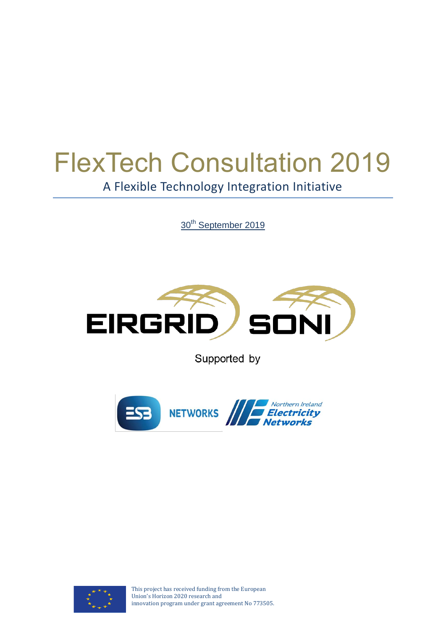# FlexTech Consultation 2019 A Flexible Technology Integration Initiative

30<sup>th</sup> September 2019



Supported by





This project has received funding from the European Union's Horizon 2020 research and innovation program under grant agreement No 773505.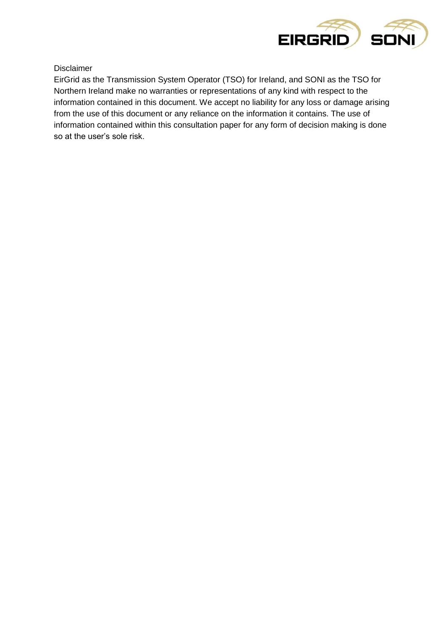

Disclaimer

EirGrid as the Transmission System Operator (TSO) for Ireland, and SONI as the TSO for Northern Ireland make no warranties or representations of any kind with respect to the information contained in this document. We accept no liability for any loss or damage arising from the use of this document or any reliance on the information it contains. The use of information contained within this consultation paper for any form of decision making is done so at the user's sole risk.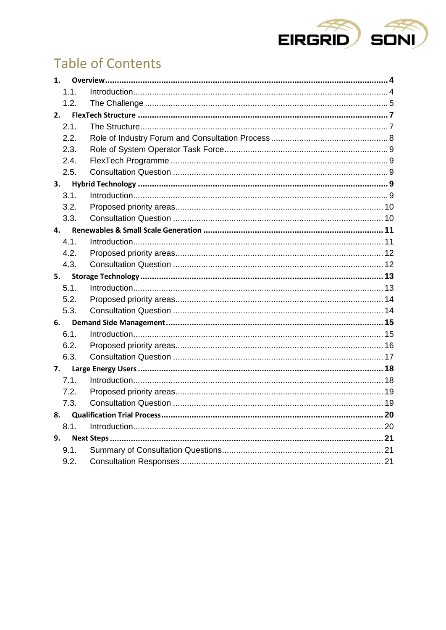

# **Table of Contents**

| $\mathbf{1}$ . |      |  |
|----------------|------|--|
|                | 1.1. |  |
|                | 1.2. |  |
| 2.             |      |  |
|                | 2.1. |  |
|                | 2.2. |  |
|                | 2.3. |  |
|                | 2.4. |  |
|                | 2.5. |  |
| 3.             |      |  |
|                | 3.1. |  |
|                | 3.2. |  |
|                | 3.3. |  |
| 4.             |      |  |
|                | 4.1. |  |
|                | 4.2. |  |
|                | 4.3. |  |
| 5.             |      |  |
|                | 5.1. |  |
|                |      |  |
|                | 5.2. |  |
|                | 5.3. |  |
| 6.             |      |  |
|                | 6.1. |  |
|                | 6.2. |  |
|                | 6.3. |  |
| 7.             |      |  |
|                | 7.1. |  |
|                | 7.2. |  |
|                | 7.3. |  |
| 8.             |      |  |
|                | 8.1. |  |
| 9.             |      |  |
|                | 9.1. |  |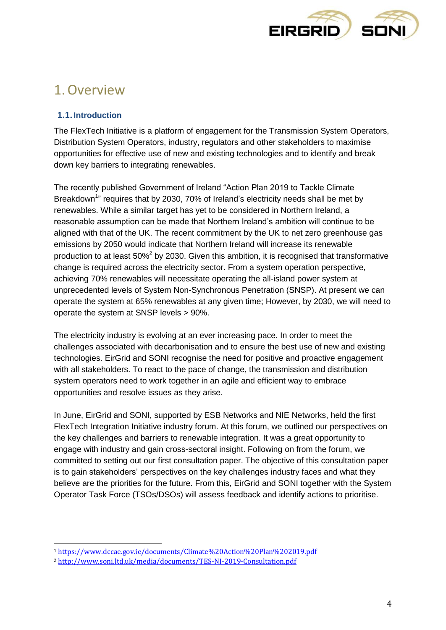

### <span id="page-3-0"></span>1.Overview

### <span id="page-3-1"></span>**1.1.Introduction**

 $\overline{a}$ 

The FlexTech Initiative is a platform of engagement for the Transmission System Operators, Distribution System Operators, industry, regulators and other stakeholders to maximise opportunities for effective use of new and existing technologies and to identify and break down key barriers to integrating renewables.

The recently published Government of Ireland "Action Plan 2019 to Tackle Climate Breakdown<sup>1</sup>" requires that by 2030, 70% of Ireland's electricity needs shall be met by renewables. While a similar target has yet to be considered in Northern Ireland, a reasonable assumption can be made that Northern Ireland's ambition will continue to be aligned with that of the UK. The recent commitment by the UK to net zero greenhouse gas emissions by 2050 would indicate that Northern Ireland will increase its renewable production to at least 50%<sup>2</sup> by 2030. Given this ambition, it is recognised that transformative change is required across the electricity sector. From a system operation perspective, achieving 70% renewables will necessitate operating the all-island power system at unprecedented levels of System Non-Synchronous Penetration (SNSP). At present we can operate the system at 65% renewables at any given time; However, by 2030, we will need to operate the system at SNSP levels > 90%.

The electricity industry is evolving at an ever increasing pace. In order to meet the challenges associated with decarbonisation and to ensure the best use of new and existing technologies. EirGrid and SONI recognise the need for positive and proactive engagement with all stakeholders. To react to the pace of change, the transmission and distribution system operators need to work together in an agile and efficient way to embrace opportunities and resolve issues as they arise.

In June, EirGrid and SONI, supported by ESB Networks and NIE Networks, held the first FlexTech Integration Initiative industry forum. At this forum, we outlined our perspectives on the key challenges and barriers to renewable integration. It was a great opportunity to engage with industry and gain cross-sectoral insight. Following on from the forum, we committed to setting out our first consultation paper. The objective of this consultation paper is to gain stakeholders' perspectives on the key challenges industry faces and what they believe are the priorities for the future. From this, EirGrid and SONI together with the System Operator Task Force (TSOs/DSOs) will assess feedback and identify actions to prioritise.

<sup>1</sup> <https://www.dccae.gov.ie/documents/Climate%20Action%20Plan%202019.pdf>

<sup>2</sup> <http://www.soni.ltd.uk/media/documents/TES-NI-2019-Consultation.pdf>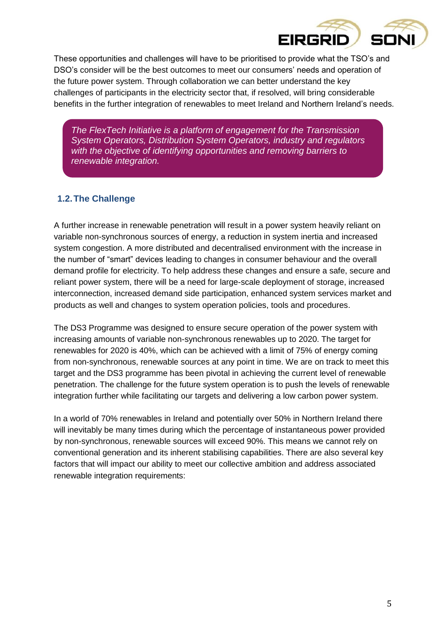

These opportunities and challenges will have to be prioritised to provide what the TSO's and DSO's consider will be the best outcomes to meet our consumers' needs and operation of the future power system. Through collaboration we can better understand the key challenges of participants in the electricity sector that, if resolved, will bring considerable benefits in the further integration of renewables to meet Ireland and Northern Ireland's needs.

*The FlexTech Initiative is a platform of engagement for the Transmission System Operators, Distribution System Operators, industry and regulators with the objective of identifying opportunities and removing barriers to renewable integration.*

### <span id="page-4-0"></span>**1.2.The Challenge**

A further increase in renewable penetration will result in a power system heavily reliant on variable non-synchronous sources of energy, a reduction in system inertia and increased system congestion. A more distributed and decentralised environment with the increase in the number of "smart" devices leading to changes in consumer behaviour and the overall demand profile for electricity. To help address these changes and ensure a safe, secure and reliant power system, there will be a need for large-scale deployment of storage, increased interconnection, increased demand side participation, enhanced system services market and products as well and changes to system operation policies, tools and procedures.

The DS3 Programme was designed to ensure secure operation of the power system with increasing amounts of variable non-synchronous renewables up to 2020. The target for renewables for 2020 is 40%, which can be achieved with a limit of 75% of energy coming from non-synchronous, renewable sources at any point in time. We are on track to meet this target and the DS3 programme has been pivotal in achieving the current level of renewable penetration. The challenge for the future system operation is to push the levels of renewable integration further while facilitating our targets and delivering a low carbon power system.

In a world of 70% renewables in Ireland and potentially over 50% in Northern Ireland there will inevitably be many times during which the percentage of instantaneous power provided by non-synchronous, renewable sources will exceed 90%. This means we cannot rely on conventional generation and its inherent stabilising capabilities. There are also several key factors that will impact our ability to meet our collective ambition and address associated renewable integration requirements: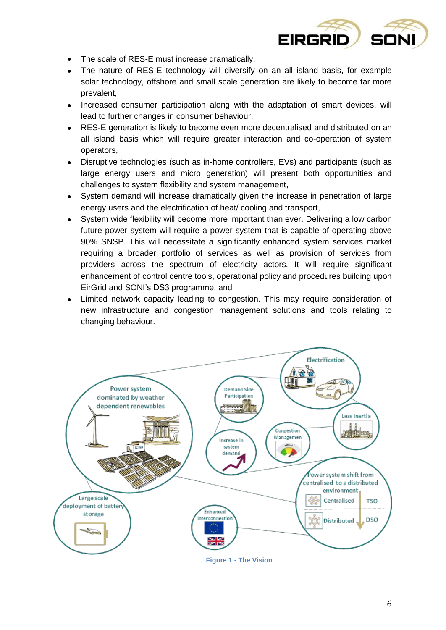

- The scale of RES-E must increase dramatically,
- The nature of RES-E technology will diversify on an all island basis, for example solar technology, offshore and small scale generation are likely to become far more prevalent,
- Increased consumer participation along with the adaptation of smart devices, will lead to further changes in consumer behaviour,
- RES-E generation is likely to become even more decentralised and distributed on an all island basis which will require greater interaction and co-operation of system operators,
- Disruptive technologies (such as in-home controllers, EVs) and participants (such as large energy users and micro generation) will present both opportunities and challenges to system flexibility and system management,
- System demand will increase dramatically given the increase in penetration of large energy users and the electrification of heat/ cooling and transport,
- System wide flexibility will become more important than ever. Delivering a low carbon future power system will require a power system that is capable of operating above 90% SNSP. This will necessitate a significantly enhanced system services market requiring a broader portfolio of services as well as provision of services from providers across the spectrum of electricity actors. It will require significant enhancement of control centre tools, operational policy and procedures building upon EirGrid and SONI's DS3 programme, and
- Limited network capacity leading to congestion. This may require consideration of new infrastructure and congestion management solutions and tools relating to changing behaviour.



**Figure 1 - The Vision**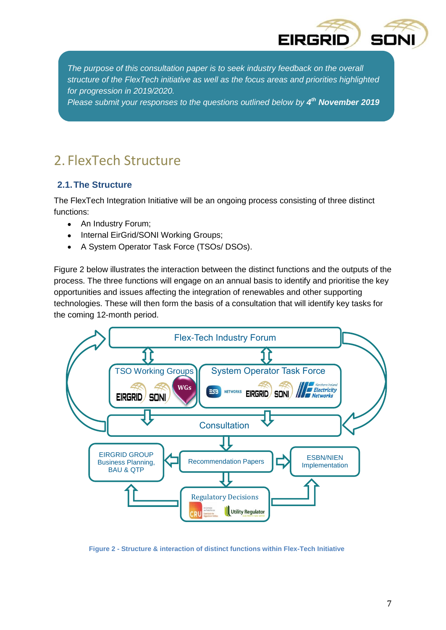

*The purpose of this consultation paper is to seek industry feedback on the overall structure of the FlexTech initiative as well as the focus areas and priorities highlighted for progression in 2019/2020.* 

*Please submit your responses to the questions outlined below by 4 th November 2019*

### <span id="page-6-0"></span>2. FlexTech Structure

### <span id="page-6-1"></span>**2.1.The Structure**

The FlexTech Integration Initiative will be an ongoing process consisting of three distinct functions:

- An Industry Forum;
- Internal EirGrid/SONI Working Groups;
- A System Operator Task Force (TSOs/ DSOs).

Figure 2 below illustrates the interaction between the distinct functions and the outputs of the process. The three functions will engage on an annual basis to identify and prioritise the key opportunities and issues affecting the integration of renewables and other supporting technologies. These will then form the basis of a consultation that will identify key tasks for the coming 12-month period.



**Figure 2 - Structure & interaction of distinct functions within Flex-Tech Initiative**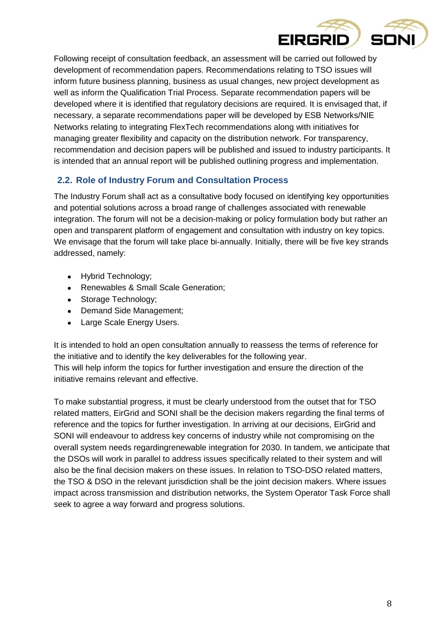

Following receipt of consultation feedback, an assessment will be carried out followed by development of recommendation papers. Recommendations relating to TSO issues will inform future business planning, business as usual changes, new project development as well as inform the Qualification Trial Process. Separate recommendation papers will be developed where it is identified that regulatory decisions are required. It is envisaged that, if necessary, a separate recommendations paper will be developed by ESB Networks/NIE Networks relating to integrating FlexTech recommendations along with initiatives for managing greater flexibility and capacity on the distribution network. For transparency, recommendation and decision papers will be published and issued to industry participants. It is intended that an annual report will be published outlining progress and implementation.

### <span id="page-7-0"></span>**2.2. Role of Industry Forum and Consultation Process**

The Industry Forum shall act as a consultative body focused on identifying key opportunities and potential solutions across a broad range of challenges associated with renewable integration. The forum will not be a decision-making or policy formulation body but rather an open and transparent platform of engagement and consultation with industry on key topics. We envisage that the forum will take place bi-annually. Initially, there will be five key strands addressed, namely:

- Hybrid Technology;
- Renewables & Small Scale Generation;
- Storage Technology;
- Demand Side Management;
- Large Scale Energy Users.

It is intended to hold an open consultation annually to reassess the terms of reference for the initiative and to identify the key deliverables for the following year. This will help inform the topics for further investigation and ensure the direction of the initiative remains relevant and effective.

To make substantial progress, it must be clearly understood from the outset that for TSO related matters, EirGrid and SONI shall be the decision makers regarding the final terms of reference and the topics for further investigation. In arriving at our decisions, EirGrid and SONI will endeavour to address key concerns of industry while not compromising on the overall system needs regardingrenewable integration for 2030. In tandem, we anticipate that the DSOs will work in parallel to address issues specifically related to their system and will also be the final decision makers on these issues. In relation to TSO-DSO related matters, the TSO & DSO in the relevant jurisdiction shall be the joint decision makers. Where issues impact across transmission and distribution networks, the System Operator Task Force shall seek to agree a way forward and progress solutions.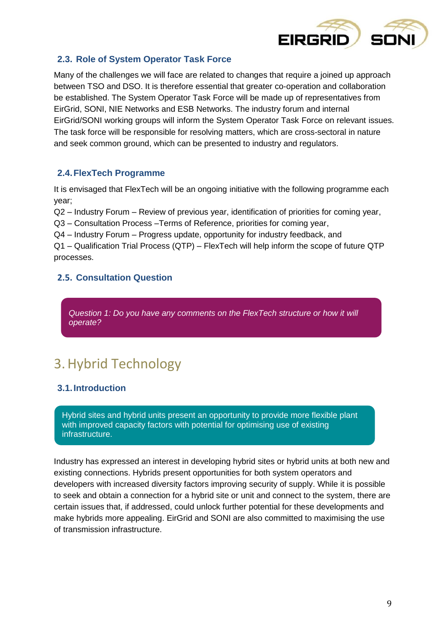

### <span id="page-8-0"></span>**2.3. Role of System Operator Task Force**

Many of the challenges we will face are related to changes that require a joined up approach between TSO and DSO. It is therefore essential that greater co-operation and collaboration be established. The System Operator Task Force will be made up of representatives from EirGrid, SONI, NIE Networks and ESB Networks. The industry forum and internal EirGrid/SONI working groups will inform the System Operator Task Force on relevant issues. The task force will be responsible for resolving matters, which are cross-sectoral in nature and seek common ground, which can be presented to industry and regulators.

#### <span id="page-8-1"></span>**2.4.FlexTech Programme**

It is envisaged that FlexTech will be an ongoing initiative with the following programme each year;

Q2 – Industry Forum – Review of previous year, identification of priorities for coming year,

Q3 – Consultation Process –Terms of Reference, priorities for coming year,

Q4 – Industry Forum – Progress update, opportunity for industry feedback, and

Q1 – Qualification Trial Process (QTP) – FlexTech will help inform the scope of future QTP processes.

### <span id="page-8-2"></span>**2.5. Consultation Question**

<span id="page-8-3"></span>*Question 1: Do you have any comments on the FlexTech structure or how it will operate?*

# 3.Hybrid Technology

### <span id="page-8-4"></span>**3.1.Introduction**

Hybrid sites and hybrid units present an opportunity to provide more flexible plant with improved capacity factors with potential for optimising use of existing infrastructure.

Industry has expressed an interest in developing hybrid sites or hybrid units at both new and existing connections. Hybrids present opportunities for both system operators and developers with increased diversity factors improving security of supply. While it is possible to seek and obtain a connection for a hybrid site or unit and connect to the system, there are certain issues that, if addressed, could unlock further potential for these developments and make hybrids more appealing. EirGrid and SONI are also committed to maximising the use of transmission infrastructure.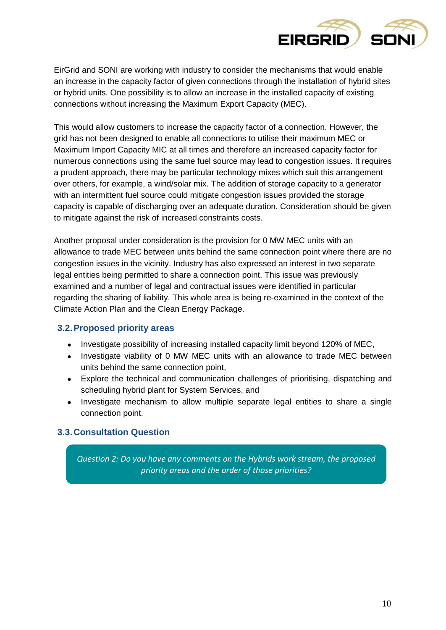

EirGrid and SONI are working with industry to consider the mechanisms that would enable an increase in the capacity factor of given connections through the installation of hybrid sites or hybrid units. One possibility is to allow an increase in the installed capacity of existing connections without increasing the Maximum Export Capacity (MEC).

This would allow customers to increase the capacity factor of a connection. However, the grid has not been designed to enable all connections to utilise their maximum MEC or Maximum Import Capacity MIC at all times and therefore an increased capacity factor for numerous connections using the same fuel source may lead to congestion issues. It requires a prudent approach, there may be particular technology mixes which suit this arrangement over others, for example, a wind/solar mix. The addition of storage capacity to a generator with an intermittent fuel source could mitigate congestion issues provided the storage capacity is capable of discharging over an adequate duration. Consideration should be given to mitigate against the risk of increased constraints costs.

Another proposal under consideration is the provision for 0 MW MEC units with an allowance to trade MEC between units behind the same connection point where there are no congestion issues in the vicinity. Industry has also expressed an interest in two separate legal entities being permitted to share a connection point. This issue was previously examined and a number of legal and contractual issues were identified in particular regarding the sharing of liability. This whole area is being re-examined in the context of the Climate Action Plan and the Clean Energy Package.

#### <span id="page-9-0"></span>**3.2.Proposed priority areas**

- Investigate possibility of increasing installed capacity limit beyond 120% of MEC,
- Investigate viability of 0 MW MEC units with an allowance to trade MEC between units behind the same connection point,
- Explore the technical and communication challenges of prioritising, dispatching and scheduling hybrid plant for System Services, and
- Investigate mechanism to allow multiple separate legal entities to share a single connection point.

#### <span id="page-9-1"></span>**3.3.Consultation Question**

*Question 2: Do you have any comments on the Hybrids work stream, the proposed priority areas and the order of those priorities?*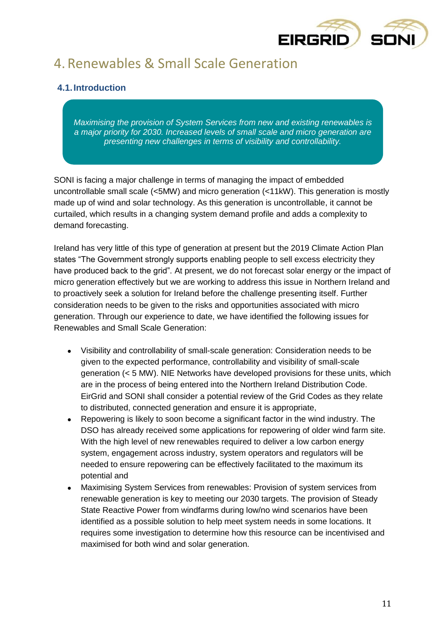

# <span id="page-10-0"></span>4. Renewables & Small Scale Generation

### <span id="page-10-1"></span>**4.1.Introduction**

*Maximising the provision of System Services from new and existing renewables is a major priority for 2030. Increased levels of small scale and micro generation are presenting new challenges in terms of visibility and controllability.* 

SONI is facing a major challenge in terms of managing the impact of embedded uncontrollable small scale (<5MW) and micro generation (<11kW). This generation is mostly made up of wind and solar technology. As this generation is uncontrollable, it cannot be curtailed, which results in a changing system demand profile and adds a complexity to demand forecasting.

Ireland has very little of this type of generation at present but the 2019 Climate Action Plan states "The Government strongly supports enabling people to sell excess electricity they have produced back to the grid". At present, we do not forecast solar energy or the impact of micro generation effectively but we are working to address this issue in Northern Ireland and to proactively seek a solution for Ireland before the challenge presenting itself. Further consideration needs to be given to the risks and opportunities associated with micro generation. Through our experience to date, we have identified the following issues for Renewables and Small Scale Generation:

- Visibility and controllability of small-scale generation: Consideration needs to be given to the expected performance, controllability and visibility of small-scale generation (< 5 MW). NIE Networks have developed provisions for these units, which are in the process of being entered into the Northern Ireland Distribution Code. EirGrid and SONI shall consider a potential review of the Grid Codes as they relate to distributed, connected generation and ensure it is appropriate,
- Repowering is likely to soon become a significant factor in the wind industry. The DSO has already received some applications for repowering of older wind farm site. With the high level of new renewables required to deliver a low carbon energy system, engagement across industry, system operators and regulators will be needed to ensure repowering can be effectively facilitated to the maximum its potential and
- Maximising System Services from renewables: Provision of system services from renewable generation is key to meeting our 2030 targets. The provision of Steady State Reactive Power from windfarms during low/no wind scenarios have been identified as a possible solution to help meet system needs in some locations. It requires some investigation to determine how this resource can be incentivised and maximised for both wind and solar generation.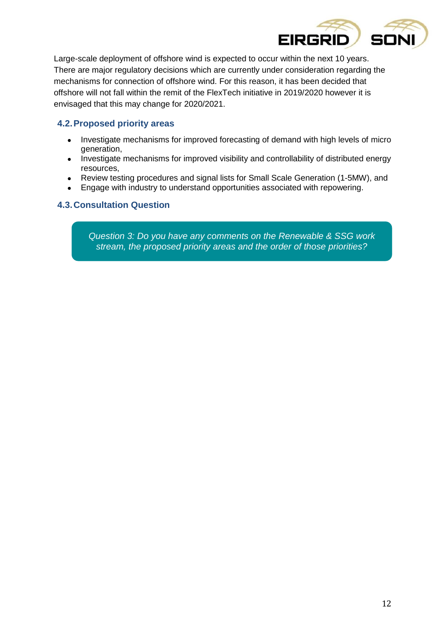

Large-scale deployment of offshore wind is expected to occur within the next 10 years. There are major regulatory decisions which are currently under consideration regarding the mechanisms for connection of offshore wind. For this reason, it has been decided that offshore will not fall within the remit of the FlexTech initiative in 2019/2020 however it is envisaged that this may change for 2020/2021.

### <span id="page-11-0"></span>**4.2.Proposed priority areas**

- Investigate mechanisms for improved forecasting of demand with high levels of micro generation,
- Investigate mechanisms for improved visibility and controllability of distributed energy resources,
- Review testing procedures and signal lists for Small Scale Generation (1-5MW), and
- Engage with industry to understand opportunities associated with repowering.

### <span id="page-11-1"></span>**4.3.Consultation Question**

*Question 3: Do you have any comments on the Renewable & SSG work stream, the proposed priority areas and the order of those priorities?*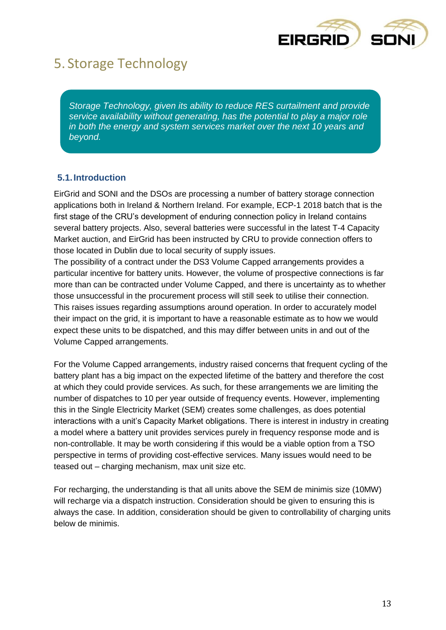

### <span id="page-12-0"></span>5. Storage Technology

*Storage Technology, given its ability to reduce RES curtailment and provide service availability without generating, has the potential to play a major role in both the energy and system services market over the next 10 years and beyond.*

### <span id="page-12-1"></span>**5.1.Introduction**

EirGrid and SONI and the DSOs are processing a number of battery storage connection applications both in Ireland & Northern Ireland. For example, ECP-1 2018 batch that is the first stage of the CRU's development of enduring connection policy in Ireland contains several battery projects. Also, several batteries were successful in the latest T-4 Capacity Market auction, and EirGrid has been instructed by CRU to provide connection offers to those located in Dublin due to local security of supply issues.

The possibility of a contract under the DS3 Volume Capped arrangements provides a particular incentive for battery units. However, the volume of prospective connections is far more than can be contracted under Volume Capped, and there is uncertainty as to whether those unsuccessful in the procurement process will still seek to utilise their connection. This raises issues regarding assumptions around operation. In order to accurately model their impact on the grid, it is important to have a reasonable estimate as to how we would expect these units to be dispatched, and this may differ between units in and out of the Volume Capped arrangements.

For the Volume Capped arrangements, industry raised concerns that frequent cycling of the battery plant has a big impact on the expected lifetime of the battery and therefore the cost at which they could provide services. As such, for these arrangements we are limiting the number of dispatches to 10 per year outside of frequency events. However, implementing this in the Single Electricity Market (SEM) creates some challenges, as does potential interactions with a unit's Capacity Market obligations. There is interest in industry in creating a model where a battery unit provides services purely in frequency response mode and is non-controllable. It may be worth considering if this would be a viable option from a TSO perspective in terms of providing cost-effective services. Many issues would need to be teased out – charging mechanism, max unit size etc.

For recharging, the understanding is that all units above the SEM de minimis size (10MW) will recharge via a dispatch instruction. Consideration should be given to ensuring this is always the case. In addition, consideration should be given to controllability of charging units below de minimis.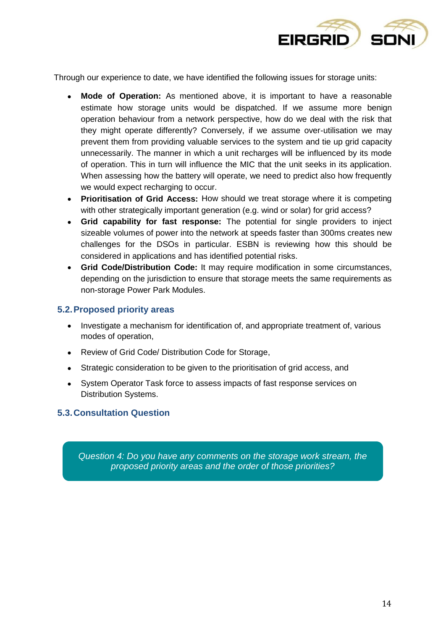

Through our experience to date, we have identified the following issues for storage units:

- **Mode of Operation:** As mentioned above, it is important to have a reasonable estimate how storage units would be dispatched. If we assume more benign operation behaviour from a network perspective, how do we deal with the risk that they might operate differently? Conversely, if we assume over-utilisation we may prevent them from providing valuable services to the system and tie up grid capacity unnecessarily. The manner in which a unit recharges will be influenced by its mode of operation. This in turn will influence the MIC that the unit seeks in its application. When assessing how the battery will operate, we need to predict also how frequently we would expect recharging to occur.
- **Prioritisation of Grid Access:** How should we treat storage where it is competing with other strategically important generation (e.g. wind or solar) for grid access?
- **Grid capability for fast response:** The potential for single providers to inject sizeable volumes of power into the network at speeds faster than 300ms creates new challenges for the DSOs in particular. ESBN is reviewing how this should be considered in applications and has identified potential risks.
- **Grid Code/Distribution Code:** It may require modification in some circumstances, depending on the jurisdiction to ensure that storage meets the same requirements as non-storage Power Park Modules.

#### <span id="page-13-0"></span>**5.2.Proposed priority areas**

- Investigate a mechanism for identification of, and appropriate treatment of, various modes of operation,
- Review of Grid Code/ Distribution Code for Storage,
- Strategic consideration to be given to the prioritisation of grid access, and
- System Operator Task force to assess impacts of fast response services on Distribution Systems.

#### <span id="page-13-1"></span>**5.3.Consultation Question**

*Question 4: Do you have any comments on the storage work stream, the proposed priority areas and the order of those priorities?*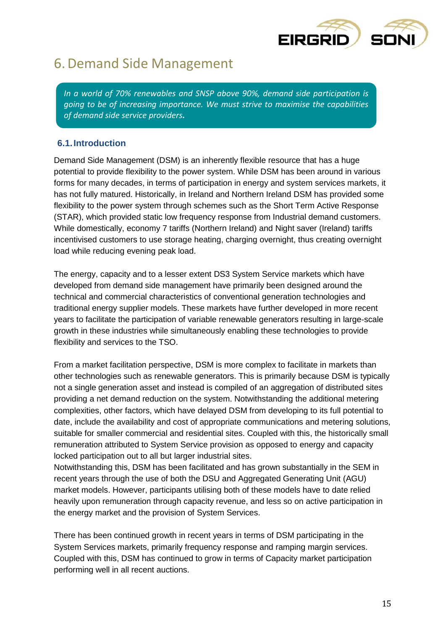

### <span id="page-14-0"></span>6.Demand Side Management

*In a world of 70% renewables and SNSP above 90%, demand side participation is going to be of increasing importance. We must strive to maximise the capabilities of demand side service providers.*

### <span id="page-14-1"></span>**6.1.Introduction**

Demand Side Management (DSM) is an inherently flexible resource that has a huge potential to provide flexibility to the power system. While DSM has been around in various forms for many decades, in terms of participation in energy and system services markets, it has not fully matured. Historically, in Ireland and Northern Ireland DSM has provided some flexibility to the power system through schemes such as the Short Term Active Response (STAR), which provided static low frequency response from Industrial demand customers. While domestically, economy 7 tariffs (Northern Ireland) and Night saver (Ireland) tariffs incentivised customers to use storage heating, charging overnight, thus creating overnight load while reducing evening peak load.

The energy, capacity and to a lesser extent DS3 System Service markets which have developed from demand side management have primarily been designed around the technical and commercial characteristics of conventional generation technologies and traditional energy supplier models. These markets have further developed in more recent years to facilitate the participation of variable renewable generators resulting in large-scale growth in these industries while simultaneously enabling these technologies to provide flexibility and services to the TSO.

From a market facilitation perspective, DSM is more complex to facilitate in markets than other technologies such as renewable generators. This is primarily because DSM is typically not a single generation asset and instead is compiled of an aggregation of distributed sites providing a net demand reduction on the system. Notwithstanding the additional metering complexities, other factors, which have delayed DSM from developing to its full potential to date, include the availability and cost of appropriate communications and metering solutions, suitable for smaller commercial and residential sites. Coupled with this, the historically small remuneration attributed to System Service provision as opposed to energy and capacity locked participation out to all but larger industrial sites.

Notwithstanding this, DSM has been facilitated and has grown substantially in the SEM in recent years through the use of both the DSU and Aggregated Generating Unit (AGU) market models. However, participants utilising both of these models have to date relied heavily upon remuneration through capacity revenue, and less so on active participation in the energy market and the provision of System Services.

There has been continued growth in recent years in terms of DSM participating in the System Services markets, primarily frequency response and ramping margin services. Coupled with this, DSM has continued to grow in terms of Capacity market participation performing well in all recent auctions.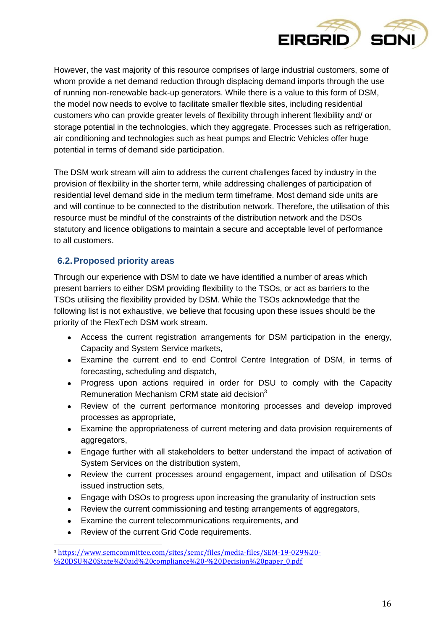

However, the vast majority of this resource comprises of large industrial customers, some of whom provide a net demand reduction through displacing demand imports through the use of running non-renewable back-up generators. While there is a value to this form of DSM, the model now needs to evolve to facilitate smaller flexible sites, including residential customers who can provide greater levels of flexibility through inherent flexibility and/ or storage potential in the technologies, which they aggregate. Processes such as refrigeration, air conditioning and technologies such as heat pumps and Electric Vehicles offer huge potential in terms of demand side participation.

The DSM work stream will aim to address the current challenges faced by industry in the provision of flexibility in the shorter term, while addressing challenges of participation of residential level demand side in the medium term timeframe. Most demand side units are and will continue to be connected to the distribution network. Therefore, the utilisation of this resource must be mindful of the constraints of the distribution network and the DSOs statutory and licence obligations to maintain a secure and acceptable level of performance to all customers.

### <span id="page-15-0"></span>**6.2.Proposed priority areas**

Through our experience with DSM to date we have identified a number of areas which present barriers to either DSM providing flexibility to the TSOs, or act as barriers to the TSOs utilising the flexibility provided by DSM. While the TSOs acknowledge that the following list is not exhaustive, we believe that focusing upon these issues should be the priority of the FlexTech DSM work stream.

- Access the current registration arrangements for DSM participation in the energy, Capacity and System Service markets,
- Examine the current end to end Control Centre Integration of DSM, in terms of forecasting, scheduling and dispatch,
- Progress upon actions required in order for DSU to comply with the Capacity Remuneration Mechanism CRM state aid decision $3$
- Review of the current performance monitoring processes and develop improved processes as appropriate,
- Examine the appropriateness of current metering and data provision requirements of aggregators,
- Engage further with all stakeholders to better understand the impact of activation of System Services on the distribution system,
- Review the current processes around engagement, impact and utilisation of DSOs issued instruction sets,
- Engage with DSOs to progress upon increasing the granularity of instruction sets
- Review the current commissioning and testing arrangements of aggregators,
- Examine the current telecommunications requirements, and
- Review of the current Grid Code requirements.

 $\overline{a}$ 

<sup>3</sup> [https://www.semcommittee.com/sites/semc/files/media-files/SEM-19-029%20-](https://www.semcommittee.com/sites/semc/files/media-files/SEM-19-029%20-%20DSU%20State%20aid%20compliance%20-%20Decision%20paper_0.pdf) [%20DSU%20State%20aid%20compliance%20-%20Decision%20paper\\_0.pdf](https://www.semcommittee.com/sites/semc/files/media-files/SEM-19-029%20-%20DSU%20State%20aid%20compliance%20-%20Decision%20paper_0.pdf)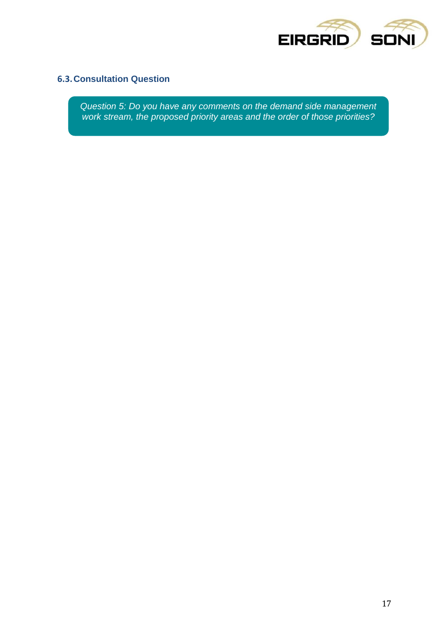

### <span id="page-16-0"></span>**6.3.Consultation Question**

*Question 5: Do you have any comments on the demand side management work stream, the proposed priority areas and the order of those priorities?*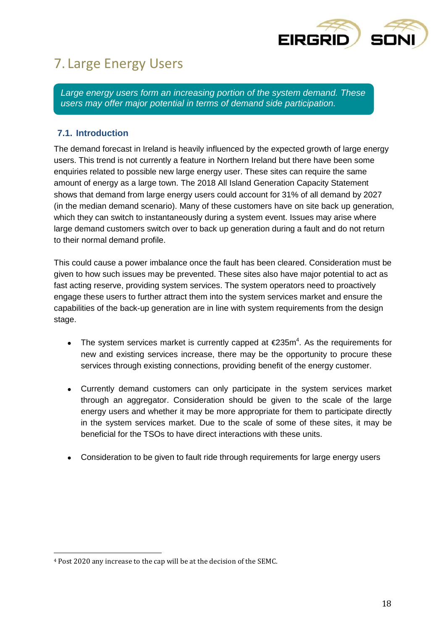

# <span id="page-17-0"></span>7. Large Energy Users

*Large energy users form an increasing portion of the system demand. These users may offer major potential in terms of demand side participation.*

### <span id="page-17-1"></span>**7.1. Introduction**

The demand forecast in Ireland is heavily influenced by the expected growth of large energy users. This trend is not currently a feature in Northern Ireland but there have been some enquiries related to possible new large energy user. These sites can require the same amount of energy as a large town. The 2018 All Island Generation Capacity Statement shows that demand from large energy users could account for 31% of all demand by 2027 (in the median demand scenario). Many of these customers have on site back up generation, which they can switch to instantaneously during a system event. Issues may arise where large demand customers switch over to back up generation during a fault and do not return to their normal demand profile.

This could cause a power imbalance once the fault has been cleared. Consideration must be given to how such issues may be prevented. These sites also have major potential to act as fast acting reserve, providing system services. The system operators need to proactively engage these users to further attract them into the system services market and ensure the capabilities of the back-up generation are in line with system requirements from the design stage.

- The system services market is currently capped at  $\epsilon$ 235m<sup>4</sup>. As the requirements for new and existing services increase, there may be the opportunity to procure these services through existing connections, providing benefit of the energy customer.
- Currently demand customers can only participate in the system services market through an aggregator. Consideration should be given to the scale of the large energy users and whether it may be more appropriate for them to participate directly in the system services market. Due to the scale of some of these sites, it may be beneficial for the TSOs to have direct interactions with these units.
- Consideration to be given to fault ride through requirements for large energy users

 $\overline{a}$ 

<sup>4</sup> Post 2020 any increase to the cap will be at the decision of the SEMC.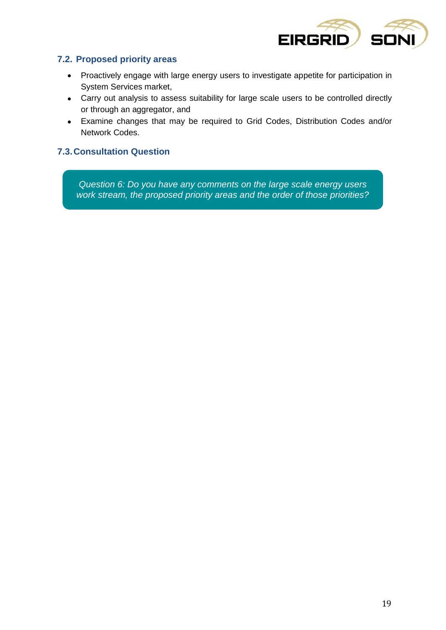

### <span id="page-18-0"></span>**7.2. Proposed priority areas**

- Proactively engage with large energy users to investigate appetite for participation in System Services market,
- Carry out analysis to assess suitability for large scale users to be controlled directly or through an aggregator, and
- Examine changes that may be required to Grid Codes, Distribution Codes and/or Network Codes.

### <span id="page-18-1"></span>**7.3.Consultation Question**

*Question 6: Do you have any comments on the large scale energy users work stream, the proposed priority areas and the order of those priorities?*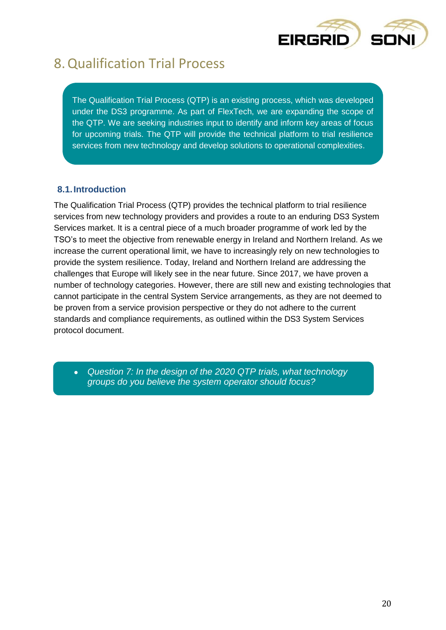

### <span id="page-19-0"></span>8.Qualification Trial Process

The Qualification Trial Process (QTP) is an existing process, which was developed under the DS3 programme. As part of FlexTech, we are expanding the scope of the QTP. We are seeking industries input to identify and inform key areas of focus for upcoming trials. The QTP will provide the technical platform to trial resilience services from new technology and develop solutions to operational complexities.

### <span id="page-19-1"></span>**8.1.Introduction**

The Qualification Trial Process (QTP) provides the technical platform to trial resilience services from new technology providers and provides a route to an enduring DS3 System Services market. It is a central piece of a much broader programme of work led by the TSO's to meet the objective from renewable energy in Ireland and Northern Ireland. As we increase the current operational limit, we have to increasingly rely on new technologies to provide the system resilience. Today, Ireland and Northern Ireland are addressing the challenges that Europe will likely see in the near future. Since 2017, we have proven a number of technology categories. However, there are still new and existing technologies that cannot participate in the central System Service arrangements, as they are not deemed to be proven from a service provision perspective or they do not adhere to the current standards and compliance requirements, as outlined within the DS3 System Services protocol document.

 *Question 7: In the design of the 2020 QTP trials, what technology groups do you believe the system operator should focus?*